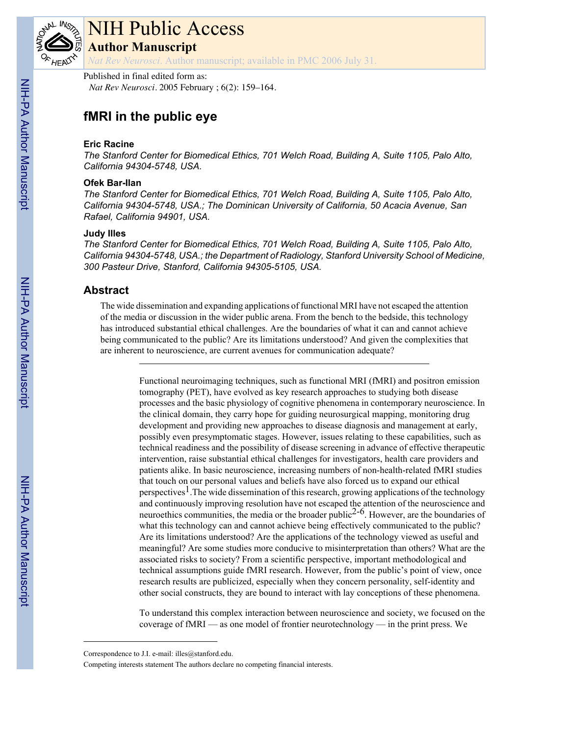

# NIH Public Access

**Author Manuscript**

*Nat Rev Neurosci*. Author manuscript; available in PMC 2006 July 31.

Published in final edited form as: *Nat Rev Neurosci*. 2005 February ; 6(2): 159–164.

# **fMRI in the public eye**

# **Eric Racine**

*The Stanford Center for Biomedical Ethics, 701 Welch Road, Building A, Suite 1105, Palo Alto, California 94304-5748, USA.*

# **Ofek Bar-Ilan**

*The Stanford Center for Biomedical Ethics, 701 Welch Road, Building A, Suite 1105, Palo Alto, California 94304-5748, USA.; The Dominican University of California, 50 Acacia Avenue, San Rafael, California 94901, USA.*

#### **Judy Illes**

*The Stanford Center for Biomedical Ethics, 701 Welch Road, Building A, Suite 1105, Palo Alto, California 94304-5748, USA.; the Department of Radiology, Stanford University School of Medicine, 300 Pasteur Drive, Stanford, California 94305-5105, USA.*

# **Abstract**

The wide dissemination and expanding applications of functional MRI have not escaped the attention of the media or discussion in the wider public arena. From the bench to the bedside, this technology has introduced substantial ethical challenges. Are the boundaries of what it can and cannot achieve being communicated to the public? Are its limitations understood? And given the complexities that are inherent to neuroscience, are current avenues for communication adequate?

> Functional neuroimaging techniques, such as functional MRI (fMRI) and positron emission tomography (PET), have evolved as key research approaches to studying both disease processes and the basic physiology of cognitive phenomena in contemporary neuroscience. In the clinical domain, they carry hope for guiding neurosurgical mapping, monitoring drug development and providing new approaches to disease diagnosis and management at early, possibly even presymptomatic stages. However, issues relating to these capabilities, such as technical readiness and the possibility of disease screening in advance of effective therapeutic intervention, raise substantial ethical challenges for investigators, health care providers and patients alike. In basic neuroscience, increasing numbers of non-health-related fMRI studies that touch on our personal values and beliefs have also forced us to expand our ethical perspectives<sup>1</sup>. The wide dissemination of this research, growing applications of the technology and continuously improving resolution have not escaped the attention of the neuroscience and neuroethics communities, the media or the broader public<sup>2-6</sup>. However, are the boundaries of what this technology can and cannot achieve being effectively communicated to the public? Are its limitations understood? Are the applications of the technology viewed as useful and meaningful? Are some studies more conducive to misinterpretation than others? What are the associated risks to society? From a scientific perspective, important methodological and technical assumptions guide fMRI research. However, from the public's point of view, once research results are publicized, especially when they concern personality, self-identity and other social constructs, they are bound to interact with lay conceptions of these phenomena.

> To understand this complex interaction between neuroscience and society, we focused on the coverage of fMRI — as one model of frontier neurotechnology — in the print press. We

Competing interests statement The authors declare no competing financial interests.

Correspondence to J.I. e-mail: illes@stanford.edu.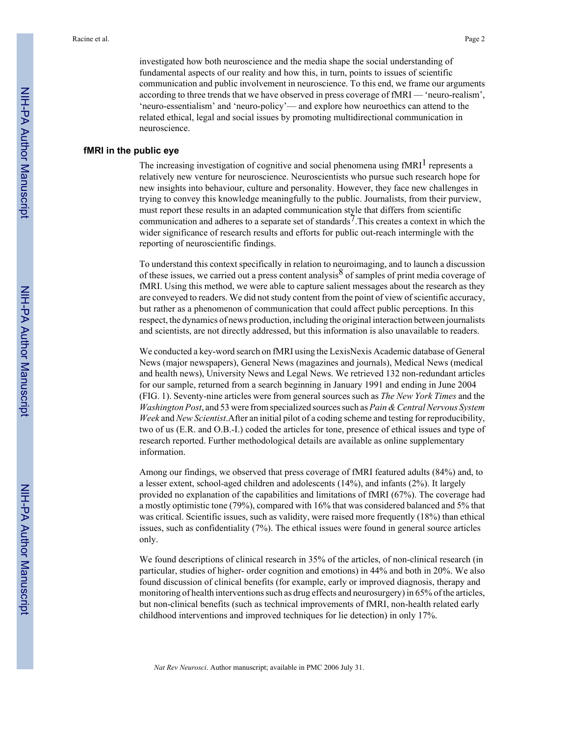investigated how both neuroscience and the media shape the social understanding of fundamental aspects of our reality and how this, in turn, points to issues of scientific communication and public involvement in neuroscience. To this end, we frame our arguments according to three trends that we have observed in press coverage of fMRI — 'neuro-realism', 'neuro-essentialism' and 'neuro-policy'— and explore how neuroethics can attend to the related ethical, legal and social issues by promoting multidirectional communication in neuroscience.

#### **fMRI in the public eye**

The increasing investigation of cognitive and social phenomena using  $fMRI$  represents a relatively new venture for neuroscience. Neuroscientists who pursue such research hope for new insights into behaviour, culture and personality. However, they face new challenges in trying to convey this knowledge meaningfully to the public. Journalists, from their purview, must report these results in an adapted communication style that differs from scientific communication and adheres to a separate set of standards<sup>7</sup>. This creates a context in which the wider significance of research results and efforts for public out-reach intermingle with the reporting of neuroscientific findings.

To understand this context specifically in relation to neuroimaging, and to launch a discussion of these issues, we carried out a press content analysis<sup>8</sup> of samples of print media coverage of fMRI. Using this method, we were able to capture salient messages about the research as they are conveyed to readers. We did not study content from the point of view of scientific accuracy, but rather as a phenomenon of communication that could affect public perceptions. In this respect, the dynamics of news production, including the original interaction between journalists and scientists, are not directly addressed, but this information is also unavailable to readers.

We conducted a key-word search on fMRI using the LexisNexis Academic database of General News (major newspapers), General News (magazines and journals), Medical News (medical and health news), University News and Legal News. We retrieved 132 non-redundant articles for our sample, returned from a search beginning in January 1991 and ending in June 2004 (FIG. 1). Seventy-nine articles were from general sources such as *The New York Times* and the *Washington Post*, and 53 were from specialized sources such as *Pain & Central Nervous System Week* and *New Scientist*.After an initial pilot of a coding scheme and testing for reproducibility, two of us (E.R. and O.B.-I.) coded the articles for tone, presence of ethical issues and type of research reported. Further methodological details are available as online supplementary information.

Among our findings, we observed that press coverage of fMRI featured adults (84%) and, to a lesser extent, school-aged children and adolescents (14%), and infants (2%). It largely provided no explanation of the capabilities and limitations of fMRI (67%). The coverage had a mostly optimistic tone (79%), compared with 16% that was considered balanced and 5% that was critical. Scientific issues, such as validity, were raised more frequently (18%) than ethical issues, such as confidentiality (7%). The ethical issues were found in general source articles only.

We found descriptions of clinical research in 35% of the articles, of non-clinical research (in particular, studies of higher- order cognition and emotions) in 44% and both in 20%. We also found discussion of clinical benefits (for example, early or improved diagnosis, therapy and monitoring of health interventions such as drug effects and neurosurgery) in 65% of the articles, but non-clinical benefits (such as technical improvements of fMRI, non-health related early childhood interventions and improved techniques for lie detection) in only 17%.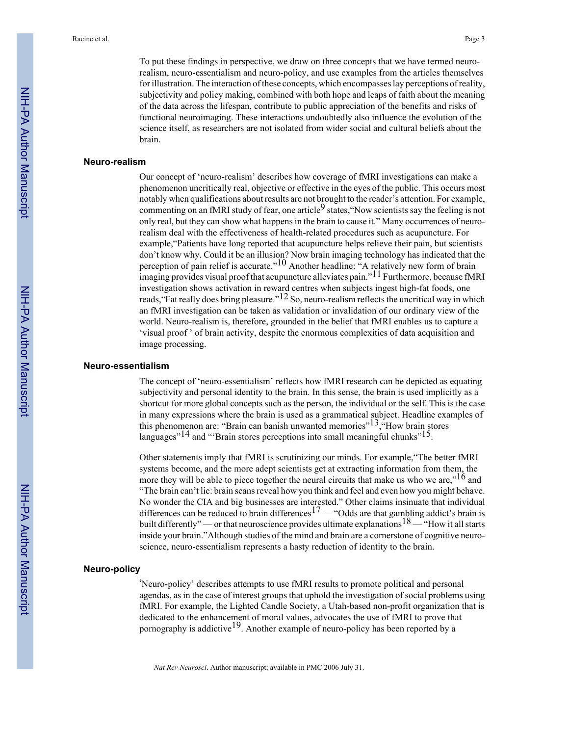To put these findings in perspective, we draw on three concepts that we have termed neurorealism, neuro-essentialism and neuro-policy, and use examples from the articles themselves for illustration. The interaction of these concepts, which encompasses lay perceptions of reality, subjectivity and policy making, combined with both hope and leaps of faith about the meaning of the data across the lifespan, contribute to public appreciation of the benefits and risks of functional neuroimaging. These interactions undoubtedly also influence the evolution of the science itself, as researchers are not isolated from wider social and cultural beliefs about the brain.

#### **Neuro-realism**

Our concept of 'neuro-realism' describes how coverage of fMRI investigations can make a phenomenon uncritically real, objective or effective in the eyes of the public. This occurs most notably when qualifications about results are not brought to the reader's attention. For example, commenting on an fMRI study of fear, one article<sup>9</sup> states, "Now scientists say the feeling is not only real, but they can show what happens in the brain to cause it." Many occurrences of neurorealism deal with the effectiveness of health-related procedures such as acupuncture. For example,"Patients have long reported that acupuncture helps relieve their pain, but scientists don't know why. Could it be an illusion? Now brain imaging technology has indicated that the perception of pain relief is accurate."<sup>10</sup> Another headline: "A relatively new form of brain imaging provides visual proof that acupuncture alleviates pain."11 Furthermore, because fMRI investigation shows activation in reward centres when subjects ingest high-fat foods, one reads,"Fat really does bring pleasure."12 So, neuro-realism reflects the uncritical way in which an fMRI investigation can be taken as validation or invalidation of our ordinary view of the world. Neuro-realism is, therefore, grounded in the belief that fMRI enables us to capture a 'visual proof ' of brain activity, despite the enormous complexities of data acquisition and image processing.

#### **Neuro-essentialism**

The concept of 'neuro-essentialism' reflects how fMRI research can be depicted as equating subjectivity and personal identity to the brain. In this sense, the brain is used implicitly as a shortcut for more global concepts such as the person, the individual or the self. This is the case in many expressions where the brain is used as a grammatical subject. Headline examples of this phenomenon are: "Brain can banish unwanted memories"<sup>13</sup>, "How brain stores" languages"<sup>14</sup> and "Brain stores perceptions into small meaningful chunks"<sup>15</sup>.

Other statements imply that fMRI is scrutinizing our minds. For example,"The better fMRI systems become, and the more adept scientists get at extracting information from them, the more they will be able to piece together the neural circuits that make us who we are,"<sup>16</sup> and "The brain can't lie: brain scans reveal how you think and feel and even how you might behave. No wonder the CIA and big businesses are interested." Other claims insinuate that individual differences can be reduced to brain differences<sup>17</sup> — "Odds are that gambling addict's brain is built differently" — or that neuroscience provides ultimate explanations  $18$  — "How it all starts" inside your brain."Although studies of the mind and brain are a cornerstone of cognitive neuroscience, neuro-essentialism represents a hasty reduction of identity to the brain.

#### **Neuro-policy**

'Neuro-policy' describes attempts to use fMRI results to promote political and personal agendas, as in the case of interest groups that uphold the investigation of social problems using fMRI. For example, the Lighted Candle Society, a Utah-based non-profit organization that is dedicated to the enhancement of moral values, advocates the use of fMRI to prove that pornography is addictive<sup>19</sup>. Another example of neuro-policy has been reported by a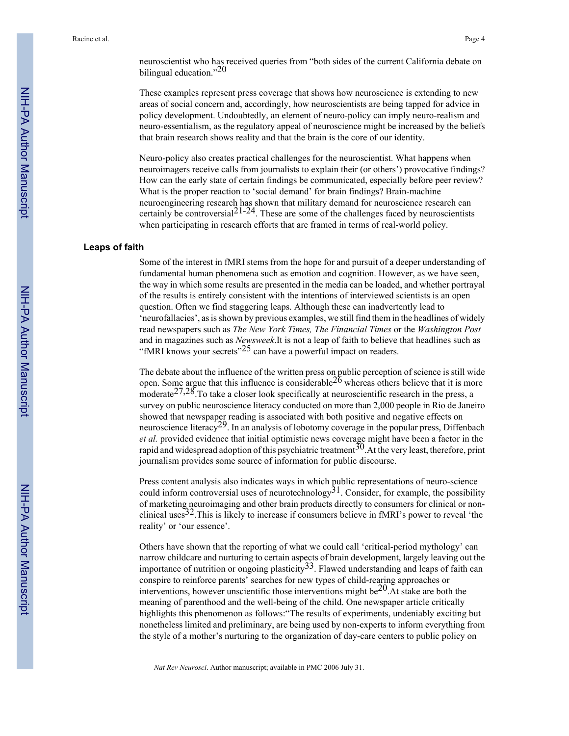neuroscientist who has received queries from "both sides of the current California debate on bilingual education." $20$ 

These examples represent press coverage that shows how neuroscience is extending to new areas of social concern and, accordingly, how neuroscientists are being tapped for advice in policy development. Undoubtedly, an element of neuro-policy can imply neuro-realism and neuro-essentialism, as the regulatory appeal of neuroscience might be increased by the beliefs that brain research shows reality and that the brain is the core of our identity.

Neuro-policy also creates practical challenges for the neuroscientist. What happens when neuroimagers receive calls from journalists to explain their (or others') provocative findings? How can the early state of certain findings be communicated, especially before peer review? What is the proper reaction to 'social demand' for brain findings? Brain-machine neuroengineering research has shown that military demand for neuroscience research can certainly be controversial<sup>21-24</sup>. These are some of the challenges faced by neuroscientists when participating in research efforts that are framed in terms of real-world policy.

#### **Leaps of faith**

Some of the interest in fMRI stems from the hope for and pursuit of a deeper understanding of fundamental human phenomena such as emotion and cognition. However, as we have seen, the way in which some results are presented in the media can be loaded, and whether portrayal of the results is entirely consistent with the intentions of interviewed scientists is an open question. Often we find staggering leaps. Although these can inadvertently lead to 'neurofallacies', as is shown by previous examples, we still find them in the headlines of widely read newspapers such as *The New York Times, The Financial Times* or the *Washington Post* and in magazines such as *Newsweek*.It is not a leap of faith to believe that headlines such as "fMRI knows your secrets" $25$  can have a powerful impact on readers.

The debate about the influence of the written press on public perception of science is still wide open. Some argue that this influence is considerable  $26$  whereas others believe that it is more moderate<sup>27,28</sup>. To take a closer look specifically at neuroscientific research in the press, a survey on public neuroscience literacy conducted on more than 2,000 people in Rio de Janeiro showed that newspaper reading is associated with both positive and negative effects on neuroscience literacy<sup>29</sup>. In an analysis of lobotomy coverage in the popular press, Diffenbach *et al.* provided evidence that initial optimistic news coverage might have been a factor in the rapid and widespread adoption of this psychiatric treatment<sup>30</sup>. At the very least, therefore, print journalism provides some source of information for public discourse.

Press content analysis also indicates ways in which public representations of neuro-science could inform controversial uses of neurotechnology<sup>31</sup>. Consider, for example, the possibility of marketing neuroimaging and other brain products directly to consumers for clinical or nonclinical uses  $32$ . This is likely to increase if consumers believe in fMRI's power to reveal 'the reality' or 'our essence'.

Others have shown that the reporting of what we could call 'critical-period mythology' can narrow childcare and nurturing to certain aspects of brain development, largely leaving out the importance of nutrition or ongoing plasticity<sup>33</sup>. Flawed understanding and leaps of faith can conspire to reinforce parents' searches for new types of child-rearing approaches or interventions, however unscientific those interventions might be<sup>20</sup>. At stake are both the meaning of parenthood and the well-being of the child. One newspaper article critically highlights this phenomenon as follows:"The results of experiments, undeniably exciting but nonetheless limited and preliminary, are being used by non-experts to inform everything from the style of a mother's nurturing to the organization of day-care centers to public policy on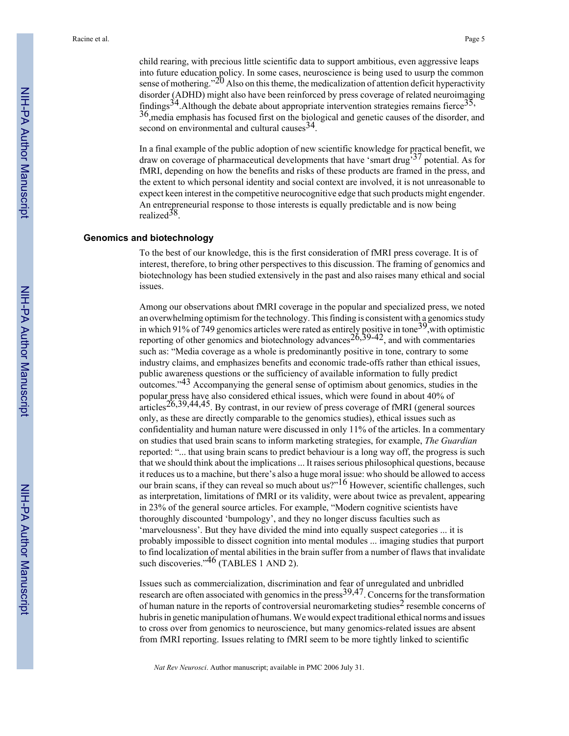child rearing, with precious little scientific data to support ambitious, even aggressive leaps into future education policy. In some cases, neuroscience is being used to usurp the common sense of mothering." $20$  Also on this theme, the medicalization of attention deficit hyperactivity disorder (ADHD) might also have been reinforced by press coverage of related neuroimaging findings<sup>34</sup>. Although the debate about appropriate intervention strategies remains fierce<sup>35</sup>, 36,media emphasis has focused first on the biological and genetic causes of the disorder, and second on environmental and cultural causes<sup>34</sup>.

In a final example of the public adoption of new scientific knowledge for practical benefit, we draw on coverage of pharmaceutical developments that have 'smart drug'<sup>37</sup> potential. As for fMRI, depending on how the benefits and risks of these products are framed in the press, and the extent to which personal identity and social context are involved, it is not unreasonable to expect keen interest in the competitive neurocognitive edge that such products might engender. An entrepreneurial response to those interests is equally predictable and is now being realized38.

#### **Genomics and biotechnology**

To the best of our knowledge, this is the first consideration of fMRI press coverage. It is of interest, therefore, to bring other perspectives to this discussion. The framing of genomics and biotechnology has been studied extensively in the past and also raises many ethical and social issues.

Among our observations about fMRI coverage in the popular and specialized press, we noted an overwhelming optimism for the technology. This finding is consistent with a genomics study in which 91% of 749 genomics articles were rated as entirely positive in tone<sup>39</sup>, with optimistic reporting of other genomics and biotechnology advances<sup>26,39-42</sup>, and with commentaries such as: "Media coverage as a whole is predominantly positive in tone, contrary to some industry claims, and emphasizes benefits and economic trade-offs rather than ethical issues, public awareness questions or the sufficiency of available information to fully predict outcomes."43 Accompanying the general sense of optimism about genomics, studies in the popular press have also considered ethical issues, which were found in about 40% of  $arities^{26,39,44,45}$ . By contrast, in our review of press coverage of fMRI (general sources only, as these are directly comparable to the genomics studies), ethical issues such as confidentiality and human nature were discussed in only 11% of the articles. In a commentary on studies that used brain scans to inform marketing strategies, for example, *The Guardian* reported: "... that using brain scans to predict behaviour is a long way off, the progress is such that we should think about the implications ... It raises serious philosophical questions, because it reduces us to a machine, but there's also a huge moral issue: who should be allowed to access our brain scans, if they can reveal so much about us?"<sup>16</sup> However, scientific challenges, such as interpretation, limitations of fMRI or its validity, were about twice as prevalent, appearing in 23% of the general source articles. For example, "Modern cognitive scientists have thoroughly discounted 'bumpology', and they no longer discuss faculties such as 'marvelousness'. But they have divided the mind into equally suspect categories ... it is probably impossible to dissect cognition into mental modules ... imaging studies that purport to find localization of mental abilities in the brain suffer from a number of flaws that invalidate such discoveries."<sup>46</sup> (TABLES 1 AND 2).

Issues such as commercialization, discrimination and fear of unregulated and unbridled research are often associated with genomics in the press<sup>39,47</sup>. Concerns for the transformation of human nature in the reports of controversial neuromarketing studies<sup>2</sup> resemble concerns of hubris in genetic manipulation of humans. We would expect traditional ethical norms and issues to cross over from genomics to neuroscience, but many genomics-related issues are absent from fMRI reporting. Issues relating to fMRI seem to be more tightly linked to scientific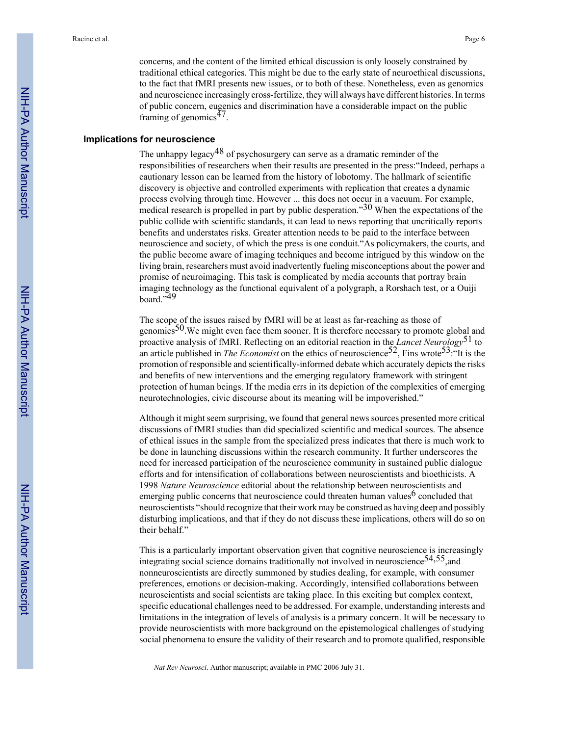concerns, and the content of the limited ethical discussion is only loosely constrained by traditional ethical categories. This might be due to the early state of neuroethical discussions, to the fact that fMRI presents new issues, or to both of these. Nonetheless, even as genomics and neuroscience increasingly cross-fertilize, they will always have different histories. In terms of public concern, eugenics and discrimination have a considerable impact on the public framing of genomics $47$ .

#### **Implications for neuroscience**

The unhappy legacy<sup>48</sup> of psychosurgery can serve as a dramatic reminder of the responsibilities of researchers when their results are presented in the press:"Indeed, perhaps a cautionary lesson can be learned from the history of lobotomy. The hallmark of scientific discovery is objective and controlled experiments with replication that creates a dynamic process evolving through time. However ... this does not occur in a vacuum. For example, medical research is propelled in part by public desperation.<sup>30</sup> When the expectations of the public collide with scientific standards, it can lead to news reporting that uncritically reports benefits and understates risks. Greater attention needs to be paid to the interface between neuroscience and society, of which the press is one conduit."As policymakers, the courts, and the public become aware of imaging techniques and become intrigued by this window on the living brain, researchers must avoid inadvertently fueling misconceptions about the power and promise of neuroimaging. This task is complicated by media accounts that portray brain imaging technology as the functional equivalent of a polygraph, a Rorshach test, or a Ouiji board."49

The scope of the issues raised by fMRI will be at least as far-reaching as those of genomics<sup>50</sup>. We might even face them sooner. It is therefore necessary to promote global and proactive analysis of fMRI. Reflecting on an editorial reaction in the *Lancet Neurology*51 to an article published in *The Economist* on the ethics of neuroscience52, Fins wrote53:"It is the promotion of responsible and scientifically-informed debate which accurately depicts the risks and benefits of new interventions and the emerging regulatory framework with stringent protection of human beings. If the media errs in its depiction of the complexities of emerging neurotechnologies, civic discourse about its meaning will be impoverished."

Although it might seem surprising, we found that general news sources presented more critical discussions of fMRI studies than did specialized scientific and medical sources. The absence of ethical issues in the sample from the specialized press indicates that there is much work to be done in launching discussions within the research community. It further underscores the need for increased participation of the neuroscience community in sustained public dialogue efforts and for intensification of collaborations between neuroscientists and bioethicists. A 1998 *Nature Neuroscience* editorial about the relationship between neuroscientists and emerging public concerns that neuroscience could threaten human values $\delta$  concluded that neuroscientists "should recognize that their work may be construed as having deep and possibly disturbing implications, and that if they do not discuss these implications, others will do so on their behalf."

This is a particularly important observation given that cognitive neuroscience is increasingly integrating social science domains traditionally not involved in neuroscience<sup>54,55</sup>,and nonneuroscientists are directly summoned by studies dealing, for example, with consumer preferences, emotions or decision-making. Accordingly, intensified collaborations between neuroscientists and social scientists are taking place. In this exciting but complex context, specific educational challenges need to be addressed. For example, understanding interests and limitations in the integration of levels of analysis is a primary concern. It will be necessary to provide neuroscientists with more background on the epistemological challenges of studying social phenomena to ensure the validity of their research and to promote qualified, responsible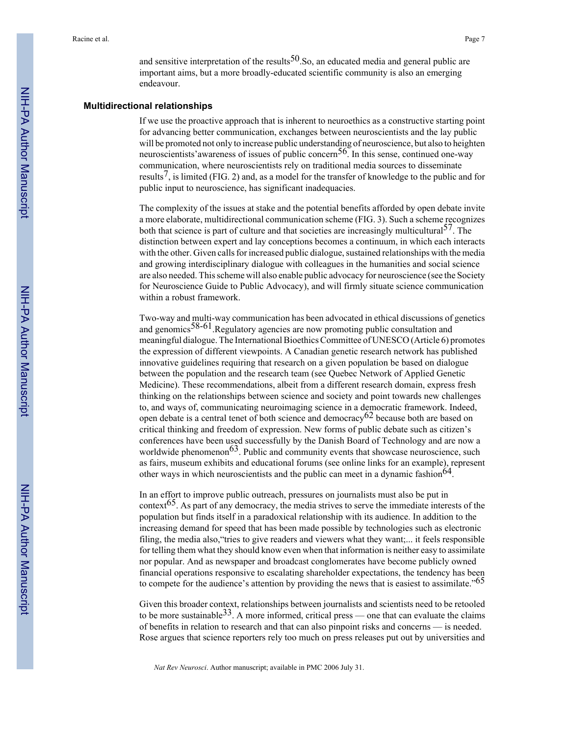and sensitive interpretation of the results<sup>50</sup>. So, an educated media and general public are important aims, but a more broadly-educated scientific community is also an emerging endeavour.

#### **Multidirectional relationships**

If we use the proactive approach that is inherent to neuroethics as a constructive starting point for advancing better communication, exchanges between neuroscientists and the lay public will be promoted not only to increase public understanding of neuroscience, but also to heighten neuroscientists' awareness of issues of public concern<sup>56</sup>. In this sense, continued one-way communication, where neuroscientists rely on traditional media sources to disseminate results<sup> $\frac{7}{1}$ </sup> is limited (FIG. 2) and, as a model for the transfer of knowledge to the public and for public input to neuroscience, has significant inadequacies.

The complexity of the issues at stake and the potential benefits afforded by open debate invite a more elaborate, multidirectional communication scheme (FIG. 3). Such a scheme recognizes both that science is part of culture and that societies are increasingly multicultural<sup>57</sup>. The distinction between expert and lay conceptions becomes a continuum, in which each interacts with the other. Given calls for increased public dialogue, sustained relationships with the media and growing interdisciplinary dialogue with colleagues in the humanities and social science are also needed. This scheme will also enable public advocacy for neuroscience (see the Society for Neuroscience Guide to Public Advocacy), and will firmly situate science communication within a robust framework.

Two-way and multi-way communication has been advocated in ethical discussions of genetics and genomics<sup>58-61</sup>.Regulatory agencies are now promoting public consultation and meaningful dialogue. The International Bioethics Committee of UNESCO (Article 6) promotes the expression of different viewpoints. A Canadian genetic research network has published innovative guidelines requiring that research on a given population be based on dialogue between the population and the research team (see Quebec Network of Applied Genetic Medicine). These recommendations, albeit from a different research domain, express fresh thinking on the relationships between science and society and point towards new challenges to, and ways of, communicating neuroimaging science in a democratic framework. Indeed, open debate is a central tenet of both science and democracy<sup>62</sup> because both are based on critical thinking and freedom of expression. New forms of public debate such as citizen's conferences have been used successfully by the Danish Board of Technology and are now a worldwide phenomenon<sup>63</sup>. Public and community events that showcase neuroscience, such as fairs, museum exhibits and educational forums (see online links for an example), represent other ways in which neuroscientists and the public can meet in a dynamic fashion $64$ .

In an effort to improve public outreach, pressures on journalists must also be put in  $\frac{1}{65}$ . As part of any democracy, the media strives to serve the immediate interests of the population but finds itself in a paradoxical relationship with its audience. In addition to the increasing demand for speed that has been made possible by technologies such as electronic filing, the media also,"tries to give readers and viewers what they want;... it feels responsible for telling them what they should know even when that information is neither easy to assimilate nor popular. And as newspaper and broadcast conglomerates have become publicly owned financial operations responsive to escalating shareholder expectations, the tendency has been to compete for the audience's attention by providing the news that is easiest to assimilate."<sup>65</sup>

Given this broader context, relationships between journalists and scientists need to be retooled to be more sustainable  $33.$  A more informed, critical press — one that can evaluate the claims of benefits in relation to research and that can also pinpoint risks and concerns — is needed. Rose argues that science reporters rely too much on press releases put out by universities and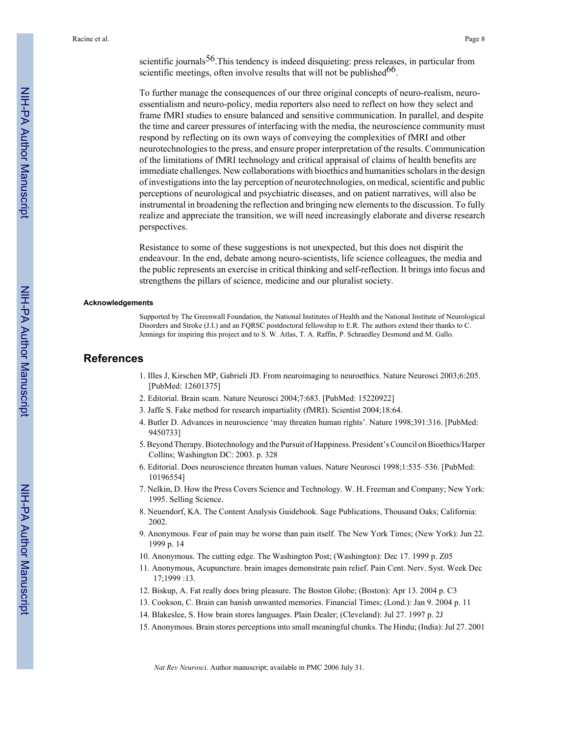scientific journals<sup>56</sup>. This tendency is indeed disquieting: press releases, in particular from scientific meetings, often involve results that will not be published  $66$ .

To further manage the consequences of our three original concepts of neuro-realism, neuroessentialism and neuro-policy, media reporters also need to reflect on how they select and frame fMRI studies to ensure balanced and sensitive communication. In parallel, and despite the time and career pressures of interfacing with the media, the neuroscience community must respond by reflecting on its own ways of conveying the complexities of fMRI and other neurotechnologies to the press, and ensure proper interpretation of the results. Communication of the limitations of fMRI technology and critical appraisal of claims of health benefits are immediate challenges. New collaborations with bioethics and humanities scholars in the design of investigations into the lay perception of neurotechnologies, on medical, scientific and public perceptions of neurological and psychiatric diseases, and on patient narratives, will also be instrumental in broadening the reflection and bringing new elements to the discussion. To fully realize and appreciate the transition, we will need increasingly elaborate and diverse research perspectives.

Resistance to some of these suggestions is not unexpected, but this does not dispirit the endeavour. In the end, debate among neuro-scientists, life science colleagues, the media and the public represents an exercise in critical thinking and self-reflection. It brings into focus and strengthens the pillars of science, medicine and our pluralist society.

#### **Acknowledgements**

Supported by The Greenwall Foundation, the National Institutes of Health and the National Institute of Neurological Disorders and Stroke (J.I.) and an FQRSC postdoctoral fellowship to E.R. The authors extend their thanks to C. Jennings for inspiring this project and to S. W. Atlas, T. A. Raffin, P. Schraedley Desmond and M. Gallo.

# **References**

- 1. Illes J, Kirschen MP, Gabrieli JD. From neuroimaging to neuroethics. Nature Neurosci 2003;6:205. [PubMed: 12601375]
- 2. Editorial. Brain scam. Nature Neurosci 2004;7:683. [PubMed: 15220922]
- 3. Jaffe S. Fake method for research impartiality (fMRI). Scientist 2004;18:64.
- 4. Butler D. Advances in neuroscience 'may threaten human rights'. Nature 1998;391:316. [PubMed: 9450733]
- 5. Beyond Therapy. Biotechnology and the Pursuit of Happiness. President's Council on Bioethics/Harper Collins; Washington DC: 2003. p. 328
- 6. Editorial. Does neuroscience threaten human values. Nature Neurosci 1998;1:535–536. [PubMed: 10196554]
- 7. Nelkin, D. How the Press Covers Science and Technology. W. H. Freeman and Company; New York: 1995. Selling Science.
- 8. Neuendorf, KA. The Content Analysis Guidebook. Sage Publications, Thousand Oaks; California: 2002.
- 9. Anonymous. Fear of pain may be worse than pain itself. The New York Times; (New York): Jun 22. 1999 p. 14
- 10. Anonymous. The cutting edge. The Washington Post; (Washington): Dec 17. 1999 p. Z05
- 11. Anonymous, Acupuncture. brain images demonstrate pain relief. Pain Cent. Nerv. Syst. Week Dec 17;1999 :13.
- 12. Biskup, A. Fat really does bring pleasure. The Boston Globe; (Boston): Apr 13. 2004 p. C3
- 13. Cookson, C. Brain can banish unwanted memories. Financial Times; (Lond.): Jan 9. 2004 p. 11
- 14. Blakeslee, S. How brain stores languages. Plain Dealer; (Cleveland): Jul 27. 1997 p. 2J
- 15. Anonymous. Brain stores perceptions into small meaningful chunks. The Hindu; (India): Jul 27. 2001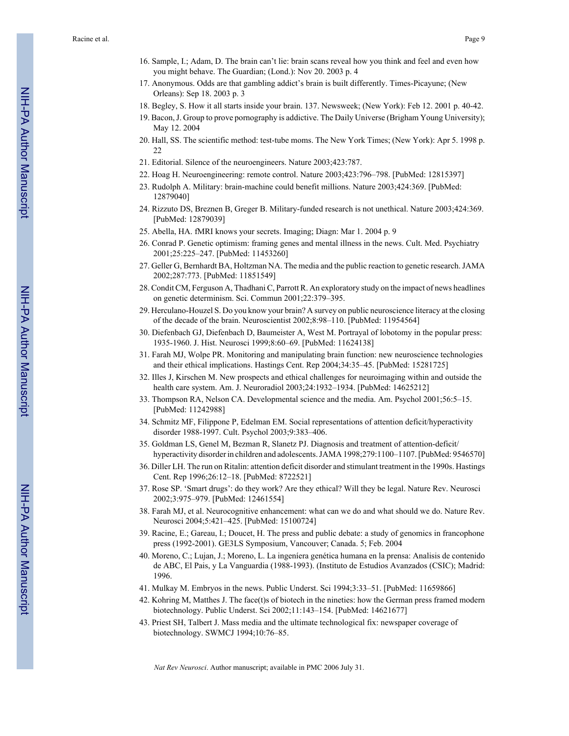- 16. Sample, I.; Adam, D. The brain can't lie: brain scans reveal how you think and feel and even how you might behave. The Guardian; (Lond.): Nov 20. 2003 p. 4
- 17. Anonymous. Odds are that gambling addict's brain is built differently. Times-Picayune; (New Orleans): Sep 18. 2003 p. 3
- 18. Begley, S. How it all starts inside your brain. 137. Newsweek; (New York): Feb 12. 2001 p. 40-42.
- 19. Bacon, J. Group to prove pornography is addictive. The Daily Universe (Brigham Young University); May 12. 2004
- 20. Hall, SS. The scientific method: test-tube moms. The New York Times; (New York): Apr 5. 1998 p. 22
- 21. Editorial. Silence of the neuroengineers. Nature 2003;423:787.
- 22. Hoag H. Neuroengineering: remote control. Nature 2003;423:796–798. [PubMed: 12815397]
- 23. Rudolph A. Military: brain-machine could benefit millions. Nature 2003;424:369. [PubMed: 12879040]
- 24. Rizzuto DS, Breznen B, Greger B. Military-funded research is not unethical. Nature 2003;424:369. [PubMed: 12879039]
- 25. Abella, HA. fMRI knows your secrets. Imaging; Diagn: Mar 1. 2004 p. 9
- 26. Conrad P. Genetic optimism: framing genes and mental illness in the news. Cult. Med. Psychiatry 2001;25:225–247. [PubMed: 11453260]
- 27. Geller G, Bernhardt BA, Holtzman NA. The media and the public reaction to genetic research. JAMA 2002;287:773. [PubMed: 11851549]
- 28. Condit CM, Ferguson A, Thadhani C, Parrott R. An exploratory study on the impact of news headlines on genetic determinism. Sci. Commun 2001;22:379–395.
- 29. Herculano-Houzel S. Do you know your brain? A survey on public neuroscience literacy at the closing of the decade of the brain. Neuroscientist 2002;8:98–110. [PubMed: 11954564]
- 30. Diefenbach GJ, Diefenbach D, Baumeister A, West M. Portrayal of lobotomy in the popular press: 1935-1960. J. Hist. Neurosci 1999;8:60–69. [PubMed: 11624138]
- 31. Farah MJ, Wolpe PR. Monitoring and manipulating brain function: new neuroscience technologies and their ethical implications. Hastings Cent. Rep 2004;34:35–45. [PubMed: 15281725]
- 32. Illes J, Kirschen M. New prospects and ethical challenges for neuroimaging within and outside the health care system. Am. J. Neuroradiol 2003;24:1932–1934. [PubMed: 14625212]
- 33. Thompson RA, Nelson CA. Developmental science and the media. Am. Psychol 2001;56:5–15. [PubMed: 11242988]
- 34. Schmitz MF, Filippone P, Edelman EM. Social representations of attention deficit/hyperactivity disorder 1988-1997. Cult. Psychol 2003;9:383–406.
- 35. Goldman LS, Genel M, Bezman R, Slanetz PJ. Diagnosis and treatment of attention-deficit/ hyperactivity disorder in children and adolescents. JAMA 1998;279:1100–1107. [PubMed: 9546570]
- 36. Diller LH. The run on Ritalin: attention deficit disorder and stimulant treatment in the 1990s. Hastings Cent. Rep 1996;26:12–18. [PubMed: 8722521]
- 37. Rose SP. 'Smart drugs': do they work? Are they ethical? Will they be legal. Nature Rev. Neurosci 2002;3:975–979. [PubMed: 12461554]
- 38. Farah MJ, et al. Neurocognitive enhancement: what can we do and what should we do. Nature Rev. Neurosci 2004;5:421–425. [PubMed: 15100724]
- 39. Racine, E.; Gareau, I.; Doucet, H. The press and public debate: a study of genomics in francophone press (1992-2001). GE3LS Symposium, Vancouver; Canada. 5; Feb. 2004
- 40. Moreno, C.; Lujan, J.; Moreno, L. La ingeníera genética humana en la prensa: Analisis de contenido de ABC, El Pais, y La Vanguardia (1988-1993). (Instituto de Estudios Avanzados (CSIC); Madrid: 1996.
- 41. Mulkay M. Embryos in the news. Public Underst. Sci 1994;3:33–51. [PubMed: 11659866]
- 42. Kohring M, Matthes J. The face(t)s of biotech in the nineties: how the German press framed modern biotechnology. Public Underst. Sci 2002;11:143–154. [PubMed: 14621677]
- 43. Priest SH, Talbert J. Mass media and the ultimate technological fix: newspaper coverage of biotechnology. SWMCJ 1994;10:76–85.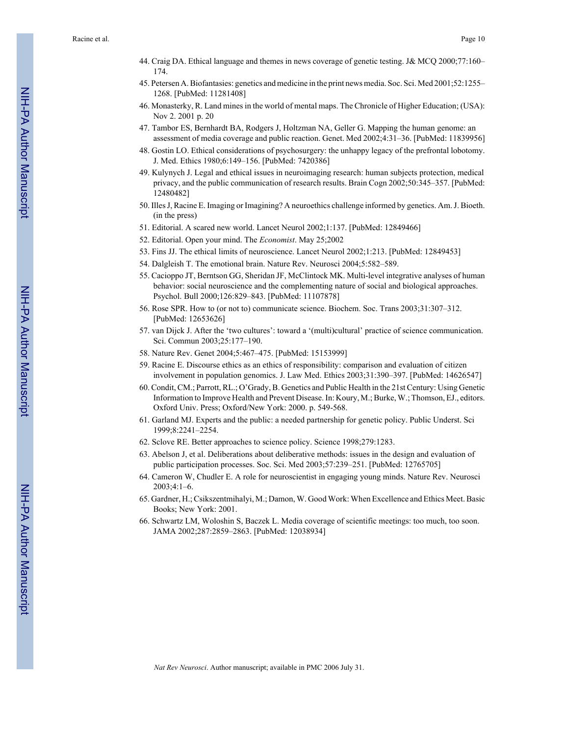- 44. Craig DA. Ethical language and themes in news coverage of genetic testing. J& MCQ 2000;77:160– 174.
- 45. Petersen A. Biofantasies: genetics and medicine in the print news media. Soc. Sci. Med 2001;52:1255– 1268. [PubMed: 11281408]
- 46. Monasterky, R. Land mines in the world of mental maps. The Chronicle of Higher Education; (USA): Nov 2. 2001 p. 20
- 47. Tambor ES, Bernhardt BA, Rodgers J, Holtzman NA, Geller G. Mapping the human genome: an assessment of media coverage and public reaction. Genet. Med 2002;4:31–36. [PubMed: 11839956]
- 48. Gostin LO. Ethical considerations of psychosurgery: the unhappy legacy of the prefrontal lobotomy. J. Med. Ethics 1980;6:149–156. [PubMed: 7420386]
- 49. Kulynych J. Legal and ethical issues in neuroimaging research: human subjects protection, medical privacy, and the public communication of research results. Brain Cogn 2002;50:345–357. [PubMed: 12480482]
- 50. Illes J, Racine E. Imaging or Imagining? A neuroethics challenge informed by genetics. Am. J. Bioeth. (in the press)
- 51. Editorial. A scared new world. Lancet Neurol 2002;1:137. [PubMed: 12849466]
- 52. Editorial. Open your mind. The *Economist*. May 25;2002
- 53. Fins JJ. The ethical limits of neuroscience. Lancet Neurol 2002;1:213. [PubMed: 12849453]
- 54. Dalgleish T. The emotional brain. Nature Rev. Neurosci 2004;5:582–589.
- 55. Cacioppo JT, Berntson GG, Sheridan JF, McClintock MK. Multi-level integrative analyses of human behavior: social neuroscience and the complementing nature of social and biological approaches. Psychol. Bull 2000;126:829–843. [PubMed: 11107878]
- 56. Rose SPR. How to (or not to) communicate science. Biochem. Soc. Trans 2003;31:307–312. [PubMed: 12653626]
- 57. van Dijck J. After the 'two cultures': toward a '(multi)cultural' practice of science communication. Sci. Commun 2003;25:177–190.
- 58. Nature Rev. Genet 2004;5:467–475. [PubMed: 15153999]
- 59. Racine E. Discourse ethics as an ethics of responsibility: comparison and evaluation of citizen involvement in population genomics. J. Law Med. Ethics 2003;31:390–397. [PubMed: 14626547]
- 60. Condit, CM.; Parrott, RL.; O'Grady, B. Genetics and Public Health in the 21st Century: Using Genetic Information to Improve Health and Prevent Disease. In: Koury, M.; Burke, W.; Thomson, EJ., editors. Oxford Univ. Press; Oxford/New York: 2000. p. 549-568.
- 61. Garland MJ. Experts and the public: a needed partnership for genetic policy. Public Underst. Sci 1999;8:2241–2254.
- 62. Sclove RE. Better approaches to science policy. Science 1998;279:1283.
- 63. Abelson J, et al. Deliberations about deliberative methods: issues in the design and evaluation of public participation processes. Soc. Sci. Med 2003;57:239–251. [PubMed: 12765705]
- 64. Cameron W, Chudler E. A role for neuroscientist in engaging young minds. Nature Rev. Neurosci 2003;4:1–6.
- 65. Gardner, H.; Csikszentmihalyi, M.; Damon, W. Good Work: When Excellence and Ethics Meet. Basic Books; New York: 2001.
- 66. Schwartz LM, Woloshin S, Baczek L. Media coverage of scientific meetings: too much, too soon. JAMA 2002;287:2859–2863. [PubMed: 12038934]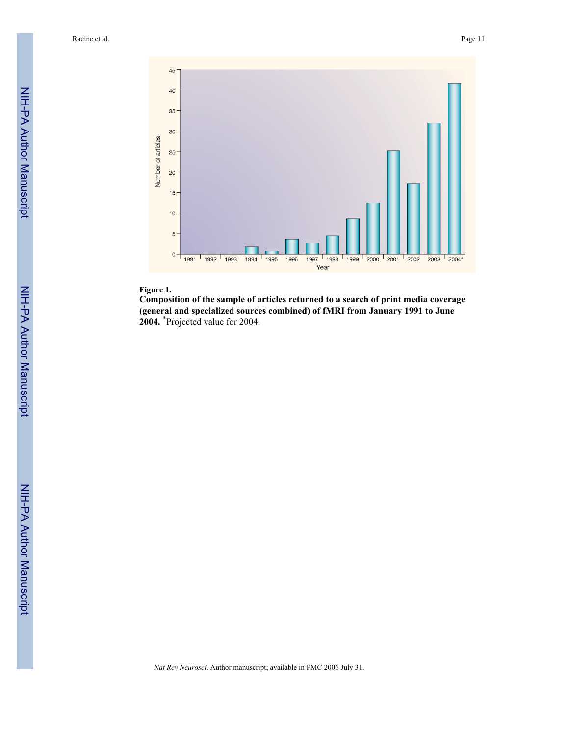

#### **Figure 1.**

**Composition of the sample of articles returned to a search of print media coverage (general and specialized sources combined) of fMRI from January 1991 to June 2004.** \*Projected value for 2004.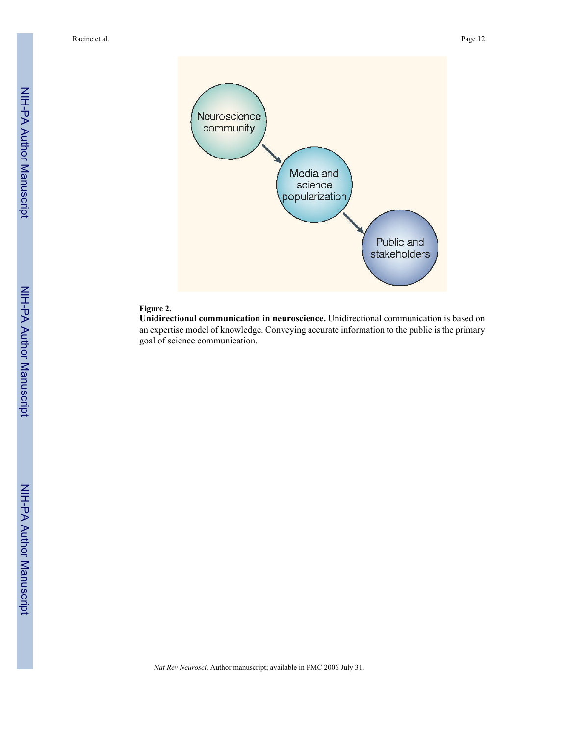

## **Figure 2.**

**Unidirectional communication in neuroscience.** Unidirectional communication is based on an expertise model of knowledge. Conveying accurate information to the public is the primary goal of science communication.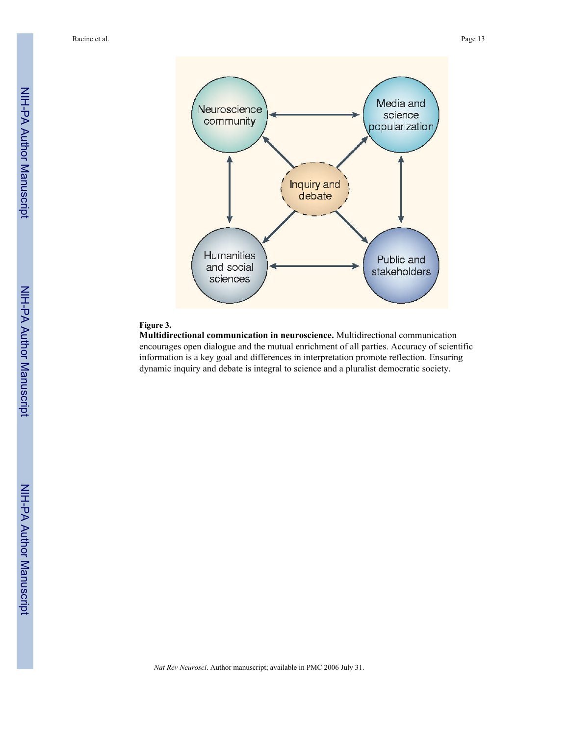

## **Figure 3.**

**Multidirectional communication in neuroscience.** Multidirectional communication encourages open dialogue and the mutual enrichment of all parties. Accuracy of scientific information is a key goal and differences in interpretation promote reflection. Ensuring dynamic inquiry and debate is integral to science and a pluralist democratic society.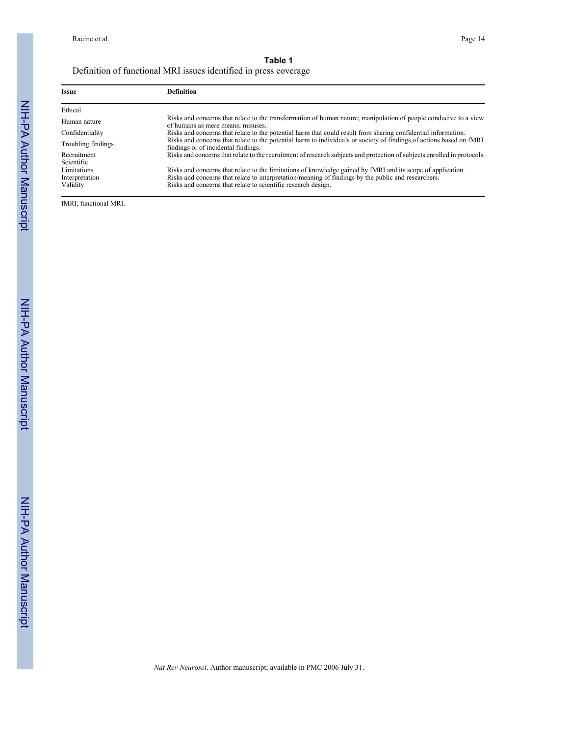#### **Table 1**

# Definition of functional MRI issues identified in press coverage

| <b>Issue</b>       | <b>Definition</b>                                                                                                                                          |
|--------------------|------------------------------------------------------------------------------------------------------------------------------------------------------------|
| Ethical            |                                                                                                                                                            |
| Human nature       | Risks and concerns that relate to the transformation of human nature; manipulation of people conducive to a view<br>of humans as mere means; misuses.      |
| Confidentiality    | Risks and concerns that relate to the potential harm that could result from sharing confidential information.                                              |
| Troubling findings | Risks and concerns that relate to the potential harm to individuals or society of findings of actions based on fMRI<br>findings or of incidental findings. |
| Recruitment        | Risks and concerns that relate to the recruitment of research subjects and protection of subjects enrolled in protocols.                                   |
| Scientific         |                                                                                                                                                            |
| Limitations        | Risks and concerns that relate to the limitations of knowledge gained by fMRI and its scope of application.                                                |
| Interpretation     | Risks and concerns that relate to interpretation/meaning of findings by the public and researchers.                                                        |
| Validity           | Risks and concerns that relate to scientific research design.                                                                                              |

fMRI, functional MRI.